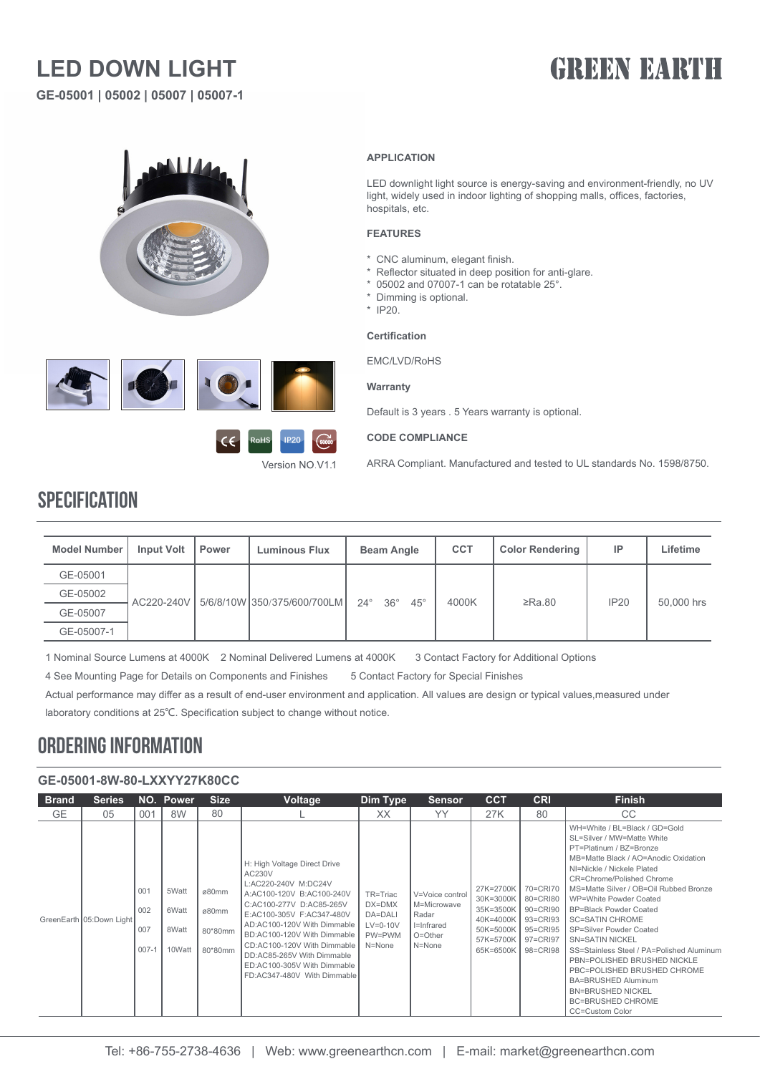## **LED DOWN LIGHT**

**GE-05001 | 05002 | 05007 | 05007-1**

# **GREEN BARTH**







#### **APPLICATION**

LED downlight light source is energy-saving and environment-friendly, no UV light, widely used in indoor lighting of shopping malls, offices, factories, hospitals, etc.

#### **FEATURES**

- \* CNC aluminum, elegant finish.
- \* Reflector situated in deep position for anti-glare.
- \* 05002 and 07007-1 can be rotatable 25°.
- \* Dimming is optional.
- \* IP20.

#### **Certification**

EMC/LVD/RoHS

#### **Warranty**

Default is 3 years . 5 Years warranty is optional.

#### **CODE COMPLIANCE**

ARRA Compliant. Manufactured and tested to UL standards No. 1598/8750.

### **SPECIFICATION**

| <b>Model Number</b> | <b>Input Volt</b> | <b>Power</b> | <b>Luminous Flux</b>        | <b>Beam Angle</b>                        | <b>CCT</b> | <b>Color Rendering</b> | IP   | Lifetime   |
|---------------------|-------------------|--------------|-----------------------------|------------------------------------------|------------|------------------------|------|------------|
| GE-05001            |                   |              |                             |                                          |            |                        |      |            |
| GE-05002            | AC220-240V        |              | 5/6/8/10W 350/375/600/700LM | $36^\circ$<br>$24^\circ$<br>$45^{\circ}$ | 4000K      | $\geq$ Ra.80           | IP20 | 50,000 hrs |
| GE-05007            |                   |              |                             |                                          |            |                        |      |            |
| GE-05007-1          |                   |              |                             |                                          |            |                        |      |            |

1 Nominal Source Lumens at 4000K 2 Nominal Delivered Lumens at 4000K 3 Contact Factory for Additional Options

4 See Mounting Page for Details on Components and Finishes 5 Contact Factory for Special Finishes

Actual performance may differ as a result of end-user environment and application. All values are design or typical values,measured under laboratory conditions at 25℃. Specification subject to change without notice.

### ORDERING INFORMATION

### **GE-05001-8W-80-LXXYY27K80CC**

| <b>Brand</b> | <b>Series</b>            |                                | NO. Power                         | <b>Size</b>                          | <b>Voltage</b>                                                                                                                                                                                                                                                                                                                                | Dim Type                                                        | <b>Sensor</b>                                                                  | <b>CCT</b>                                                                              | <b>CRI</b>                                                                       | <b>Finish</b>                                                                                                                                                                                                                                                                                                                                                                                                                                                                                                                                                                                     |
|--------------|--------------------------|--------------------------------|-----------------------------------|--------------------------------------|-----------------------------------------------------------------------------------------------------------------------------------------------------------------------------------------------------------------------------------------------------------------------------------------------------------------------------------------------|-----------------------------------------------------------------|--------------------------------------------------------------------------------|-----------------------------------------------------------------------------------------|----------------------------------------------------------------------------------|---------------------------------------------------------------------------------------------------------------------------------------------------------------------------------------------------------------------------------------------------------------------------------------------------------------------------------------------------------------------------------------------------------------------------------------------------------------------------------------------------------------------------------------------------------------------------------------------------|
| <b>GE</b>    | 05                       | 001                            | 8W                                | 80                                   |                                                                                                                                                                                                                                                                                                                                               | XX                                                              | YY                                                                             | 27K                                                                                     | 80                                                                               | CC.                                                                                                                                                                                                                                                                                                                                                                                                                                                                                                                                                                                               |
|              | GreenEarth 05:Down Light | 001<br>002<br>007<br>$007 - 1$ | 5Watt<br>6Watt<br>8Watt<br>10Watt | ø80mm<br>ø80mm<br>80*80mm<br>80*80mm | H: High Voltage Direct Drive<br>AC230V<br>L:AC220-240V M:DC24V<br>A:AC100-120V B:AC100-240V<br>C:AC100-277V D:AC85-265V<br>E:AC100-305V F:AC347-480V<br>AD:AC100-120V With Dimmable<br>BD:AC100-120V With Dimmable<br>CD:AC100-120V With Dimmable<br>DD:AC85-265V With Dimmable<br>ED:AC100-305V With Dimmable<br>FD:AC347-480V With Dimmable | TR=Triac<br>DX=DMX<br>DA=DALI<br>$LV=0-10V$<br>PW=PWM<br>N=None | V=Voice control<br>M=Microwave<br>Radar<br>I=Infrared<br>$O = Other$<br>N=None | 27K=2700K<br>30K=3000K<br>35K=3500K<br>40K=4000K<br>50K=5000K<br>57K=5700K<br>65K=6500K | 70=CRI70<br>80=CRI80<br>90=CRI90<br>93=CRI93<br>95=CRI95<br>97=CRI97<br>98=CRI98 | WH=White / BL=Black / GD=Gold<br>SL=Silver / MW=Matte White<br>PT=Platinum / BZ=Bronze<br>MB=Matte Black / AO=Anodic Oxidation<br>NI=Nickle / Nickele Plated<br>CR=Chrome/Polished Chrome<br>MS=Matte Silver / OB=Oil Rubbed Bronze<br>WP=White Powder Coated<br><b>BP=Black Powder Coated</b><br><b>SC=SATIN CHROME</b><br>SP=Silver Powder Coated<br><b>SN=SATIN NICKEL</b><br>SS=Stainless Steel / PA=Polished Aluminum<br>PBN=POLISHED BRUSHED NICKLE<br>PBC=POLISHED BRUSHED CHROME<br><b>BA=BRUSHED Aluminum</b><br><b>BN=BRUSHED NICKEL</b><br><b>BC=BRUSHED CHROME</b><br>CC=Custom Color |